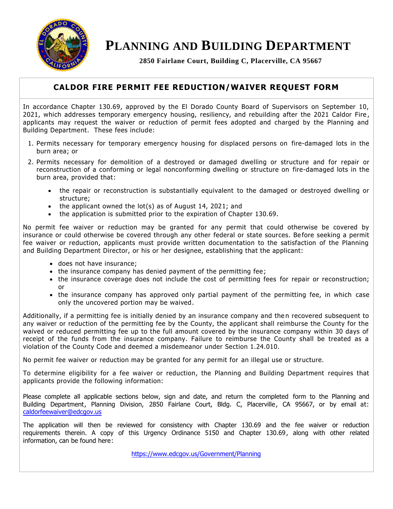

# **PLANNING AND BUILDING DEPARTMENT**

**2850 Fairlane Court, Building C, Placerville, CA 95667**

## **CALDOR FIRE PERMIT FEE REDUCTION/WAIVER REQUEST FORM**

In accordance Chapter 130.69, approved by the El Dorado County Board of Supervisors on September 10, 2021, which addresses temporary emergency housing, resiliency, and rebuilding after the 2021 Caldor Fire , applicants may request the waiver or reduction of permit fees adopted and charged by the Planning and Building Department. These fees include:

- 1. Permits necessary for temporary emergency housing for displaced persons on fire-damaged lots in the burn area; or
- 2. Permits necessary for demolition of a destroyed or damaged dwelling or structure and for repair or reconstruction of a conforming or legal nonconforming dwelling or structure on fire-damaged lots in the burn area, provided that:
	- the repair or reconstruction is substantially equivalent to the damaged or destroyed dwelling or structure;
	- $\bullet$  the applicant owned the lot(s) as of August 14, 2021; and
	- the application is submitted prior to the expiration of Chapter 130.69.

No permit fee waiver or reduction may be granted for any permit that could otherwise be covered by insurance or could otherwise be covered through any other federal or state sources. Be fore seeking a permit fee waiver or reduction, applicants must provide written documentation to the satisfaction of the Planning and Building Department Director, or his or her designee, establishing that the applicant:

- does not have insurance;
- the insurance company has denied payment of the permitting fee;
- the insurance coverage does not include the cost of permitting fees for repair or reconstruction; or
- the insurance company has approved only partial payment of the permitting fee, in which case only the uncovered portion may be waived.

Additionally, if a permitting fee is initially denied by an insurance company and then recovered subsequent to any waiver or reduction of the permitting fee by the County, the applicant shall reimburse the County for the waived or reduced permitting fee up to the full amount covered by the insurance company within 30 days of receipt of the funds from the insurance company. Failure to reimburse the County shall be treated as a violation of the County Code and deemed a misdemeanor under Section 1.24.010.

No permit fee waiver or reduction may be granted for any permit for an illegal use or structure.

To determine eligibility for a fee waiver or reduction, the Planning and Building Department requires that applicants provide the following information:

Please complete all applicable sections below, sign and date, and return the completed form to the Planning and Building Department, Planning Division, 2850 Fairlane Court, Bldg. C, Placerville, CA 95667, or by email at: caldorfeewaiver@edcgov.us

The application will then be reviewed for consistency with Chapter 130.69 and the fee waiver or reduction requirements therein. A copy of this Urgency Ordinance 5150 and Chapter 130.69, along with other related information, can be found here:

<https://www.edcgov.us/Government/Planning>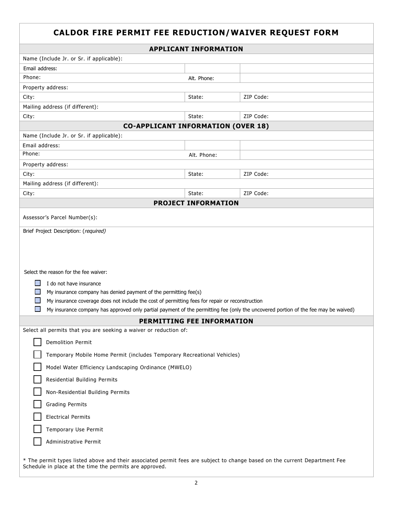# **CALDOR FIRE PERMIT FEE REDUCTION/WAIVER REQUEST FORM APPLICANT INFORMATION** Name (Include Jr. or Sr. if applicable): Email address: Phone: Alt. Phone: Property address: City: State: ZIP Code: Mailing address (if different): City: State: ZIP Code: **CO-APPLICANT INFORMATION (OVER 18)** Name (Include Jr. or Sr. if applicable): Email address: Phone: Alt. Phone: Property address: City: State: ZIP Code: Mailing address (if different): City: State: ZIP Code: **PROJECT INFORMATION** Assessor's Parcel Number(s): Brief Project Description: (required) Select the reason for the fee waiver:  $\Box$  I do not have insurance  $\Box$  My insurance company has denied payment of the permitting fee(s)  $\Box$  My insurance coverage does not include the cost of permitting fees for repair or reconstruction **Contract Contract** My insurance company has approved only partial payment of the permitting fee (only the uncovered portion of the fee may be waived)**PERMITTING FEE INFORMATION** Select all permits that you are seeking a waiver or reduction of: Demolition Permit Temporary Mobile Home Permit (includes Temporary Recreational Vehicles) Model Water Efficiency Landscaping Ordinance (MWELO) Residential Building Permits Non-Residential Building Permits Grading Permits Electrical Permits Temporary Use Permit Administrative Permit \* The permit types listed above and their associated permit fees are subject to change based on the current Department Fee Schedule in place at the time the permits are approved.